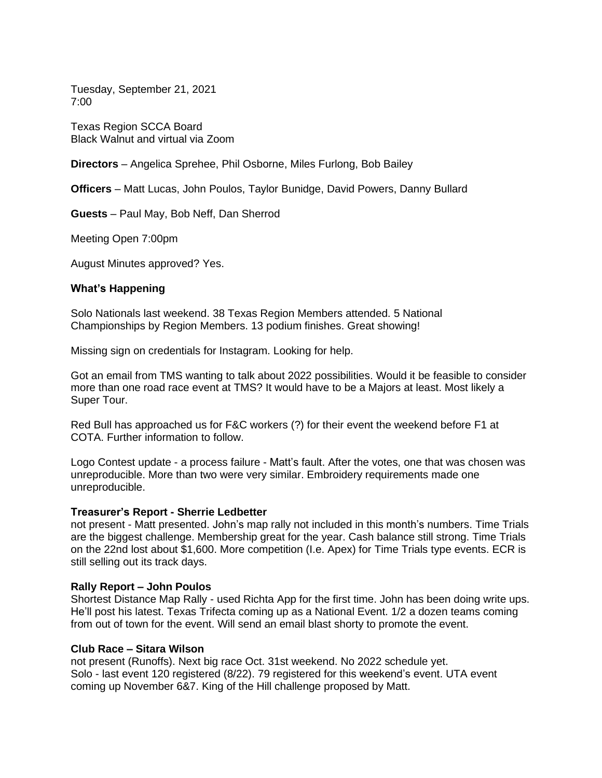Tuesday, September 21, 2021 7:00

Texas Region SCCA Board Black Walnut and virtual via Zoom

**Directors** – Angelica Sprehee, Phil Osborne, Miles Furlong, Bob Bailey

**Officers** – Matt Lucas, John Poulos, Taylor Bunidge, David Powers, Danny Bullard

**Guests** – Paul May, Bob Neff, Dan Sherrod

Meeting Open 7:00pm

August Minutes approved? Yes.

# **What's Happening**

Solo Nationals last weekend. 38 Texas Region Members attended. 5 National Championships by Region Members. 13 podium finishes. Great showing!

Missing sign on credentials for Instagram. Looking for help.

Got an email from TMS wanting to talk about 2022 possibilities. Would it be feasible to consider more than one road race event at TMS? It would have to be a Majors at least. Most likely a Super Tour.

Red Bull has approached us for F&C workers (?) for their event the weekend before F1 at COTA. Further information to follow.

Logo Contest update - a process failure - Matt's fault. After the votes, one that was chosen was unreproducible. More than two were very similar. Embroidery requirements made one unreproducible.

# **Treasurer's Report - Sherrie Ledbetter**

not present - Matt presented. John's map rally not included in this month's numbers. Time Trials are the biggest challenge. Membership great for the year. Cash balance still strong. Time Trials on the 22nd lost about \$1,600. More competition (I.e. Apex) for Time Trials type events. ECR is still selling out its track days.

# **Rally Report – John Poulos**

Shortest Distance Map Rally - used Richta App for the first time. John has been doing write ups. He'll post his latest. Texas Trifecta coming up as a National Event. 1/2 a dozen teams coming from out of town for the event. Will send an email blast shorty to promote the event.

### **Club Race – Sitara Wilson**

not present (Runoffs). Next big race Oct. 31st weekend. No 2022 schedule yet. Solo - last event 120 registered (8/22). 79 registered for this weekend's event. UTA event coming up November 6&7. King of the Hill challenge proposed by Matt.